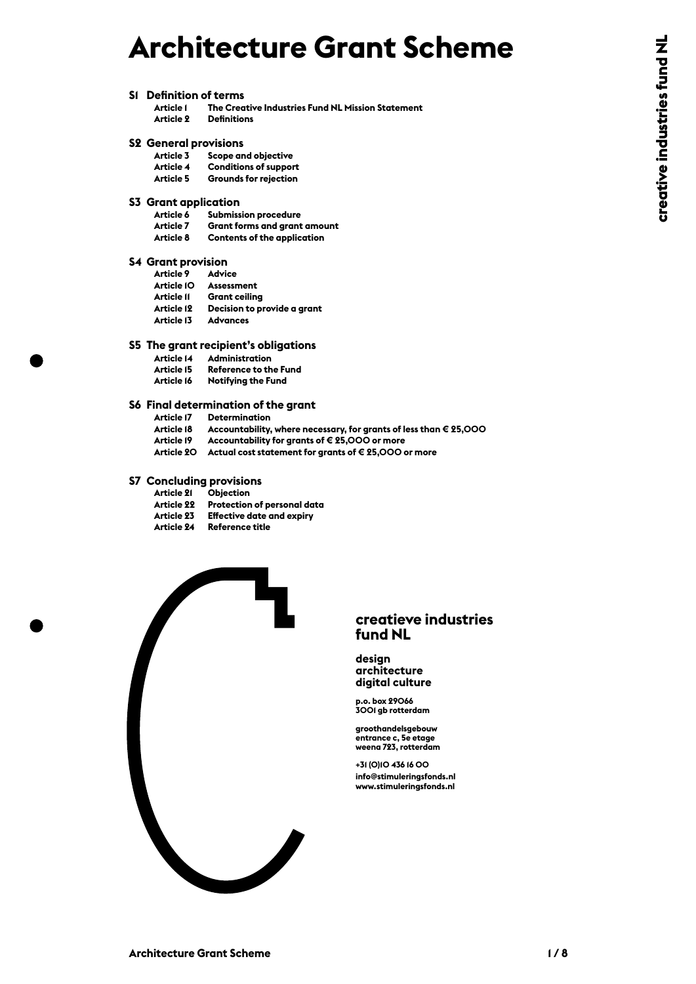# **Architecture Grant Scheme**

**S1 Definition of terms**

#### **S2 General provisions**

| Article 3        | Scope and objective          |
|------------------|------------------------------|
| Article <i>4</i> | <b>Conditions of support</b> |
| Article 5        | Grounds for rejection        |

## **S3 Grant application**

| Article I                            | The Creative Industries Fund NL Mission Statement                 |  |
|--------------------------------------|-------------------------------------------------------------------|--|
| Article 2                            | <b>Definitions</b>                                                |  |
| <b>S2 General provisions</b>         |                                                                   |  |
|                                      | Article 3 Scope and objective                                     |  |
| Article 4                            | <b>Conditions of support</b>                                      |  |
| <b>Article 5</b>                     | <b>Grounds for rejection</b>                                      |  |
| <b>S3</b> Grant application          |                                                                   |  |
| Article 6                            | <b>Submission procedure</b>                                       |  |
| Article 7                            | <b>Grant forms and grant amount</b>                               |  |
| Article 8                            | <b>Contents of the application</b>                                |  |
| <b>S4 Grant provision</b>            |                                                                   |  |
| Article 9 Advice                     |                                                                   |  |
|                                      | Article IO Assessment                                             |  |
|                                      | Article II Grant ceiling                                          |  |
|                                      | Article 12 Decision to provide a grant                            |  |
| Article 13 Advances                  |                                                                   |  |
| S5 The grant recipient's obligations |                                                                   |  |
|                                      | Article 14 Administration                                         |  |
|                                      | Article 15 Reference to the Fund                                  |  |
| Article 16                           | <b>Notifying the Fund</b>                                         |  |
|                                      | S6 Final determination of the grant                               |  |
|                                      | <b>Article 17 Determination</b>                                   |  |
| Article 18                           | Accountability, where necessary, for grants of less than € 25,000 |  |
| Article 19                           | Accountability for grants of € 25,000 or more                     |  |
|                                      | Article 20 Actual cost statement for grants of €25,000 or more    |  |
|                                      | <b>S7 Concluding provisions</b>                                   |  |
| Article 21                           | <b>Objection</b>                                                  |  |
|                                      | Article 22 Protection of personal data                            |  |
|                                      | Article 23 Effective date and expiry                              |  |
| Article 24                           | <b>Reference title</b>                                            |  |
|                                      |                                                                   |  |

- -
- 
- 

| <b>Article 21</b> | <b>Objection</b>                 |
|-------------------|----------------------------------|
| <b>Article 22</b> | Protection of personal data      |
| Article 23        | <b>Effective date and expiry</b> |
| <b>Article 24</b> | Reference title                  |



#### **creatieve industries fund NL**

#### **design architecture digital culture**

**p.o. box 29066 3001 gb rotterdam**

**groothandelsgebouw entrance c, 5e etage weena 723, rotterdam**

**+31 (0)10 436 16 00 info@stimuleringsfonds.nl**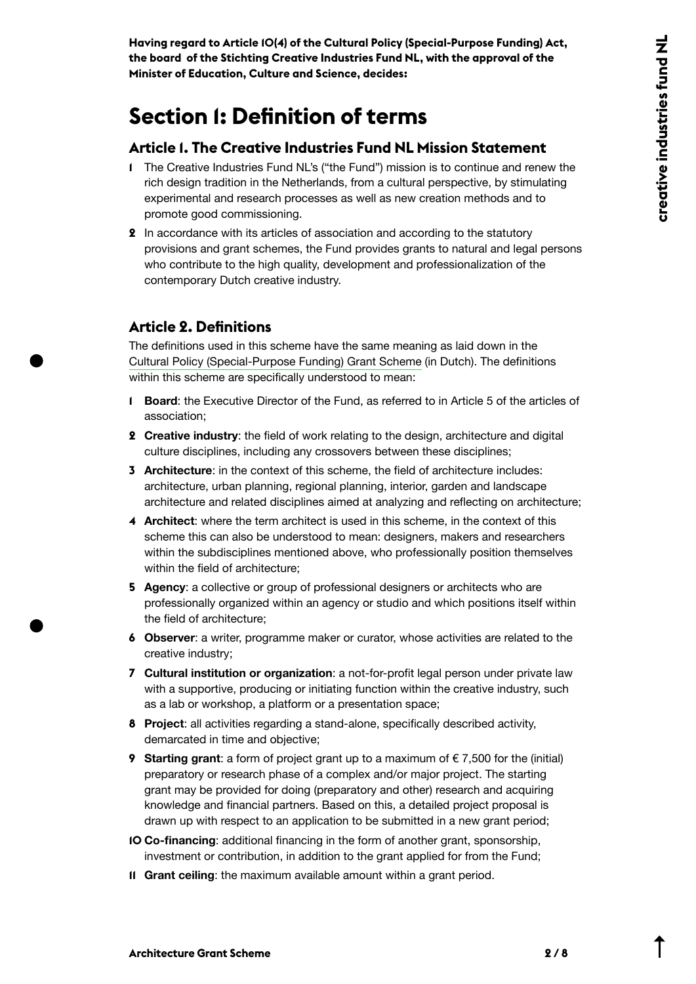**Having regard to Article 10(4) of the Cultural Policy (Special-Purpose Funding) Act, the board of the Stichting Creative Industries Fund NL, with the approval of the Minister of Education, Culture and Science, decides:**

## **Section 1: Definition of terms**

#### **Article 1. The Creative Industries Fund NL Mission Statement**

- **1** The Creative Industries Fund NL's ("the Fund") mission is to continue and renew the rich design tradition in the Netherlands, from a cultural perspective, by stimulating experimental and research processes as well as new creation methods and to promote good commissioning.
- **2** In accordance with its articles of association and according to the statutory provisions and grant schemes, the Fund provides grants to natural and legal persons who contribute to the high quality, development and professionalization of the contemporary Dutch creative industry.

#### **Article 2. Definitions**

The definitions used in this scheme have the same meaning as laid down in the [Cultural Policy \(Special-Purpose Funding\) Grant Scheme](https://wetten.overheid.nl/BWBR0027597/2020-09-08) (in Dutch). The definitions within this scheme are specifically understood to mean:

- **1 Board**: the Executive Director of the Fund, as referred to in Article 5 of the articles of association;
- **2 Creative industry**: the field of work relating to the design, architecture and digital culture disciplines, including any crossovers between these disciplines;
- **3 Architecture**: in the context of this scheme, the field of architecture includes: architecture, urban planning, regional planning, interior, garden and landscape architecture and related disciplines aimed at analyzing and reflecting on architecture;
- **4 Architect**: where the term architect is used in this scheme, in the context of this scheme this can also be understood to mean: designers, makers and researchers within the subdisciplines mentioned above, who professionally position themselves within the field of architecture;
- **5 Agency**: a collective or group of professional designers or architects who are professionally organized within an agency or studio and which positions itself within the field of architecture;
- **6 Observer**: a writer, programme maker or curator, whose activities are related to the creative industry;
- **7 Cultural institution or organization**: a not-for-profit legal person under private law with a supportive, producing or initiating function within the creative industry, such as a lab or workshop, a platform or a presentation space;
- **8 Project**: all activities regarding a stand-alone, specifically described activity, demarcated in time and objective;
- **9 Starting grant**: a form of project grant up to a maximum of € 7,500 for the (initial) preparatory or research phase of a complex and/or major project. The starting grant may be provided for doing (preparatory and other) research and acquiring knowledge and financial partners. Based on this, a detailed project proposal is drawn up with respect to an application to be submitted in a new grant period;
- **10 Co-financing**: additional financing in the form of another grant, sponsorship, investment or contribution, in addition to the grant applied for from the Fund;
- **11 Grant ceiling**: the maximum available amount within a grant period.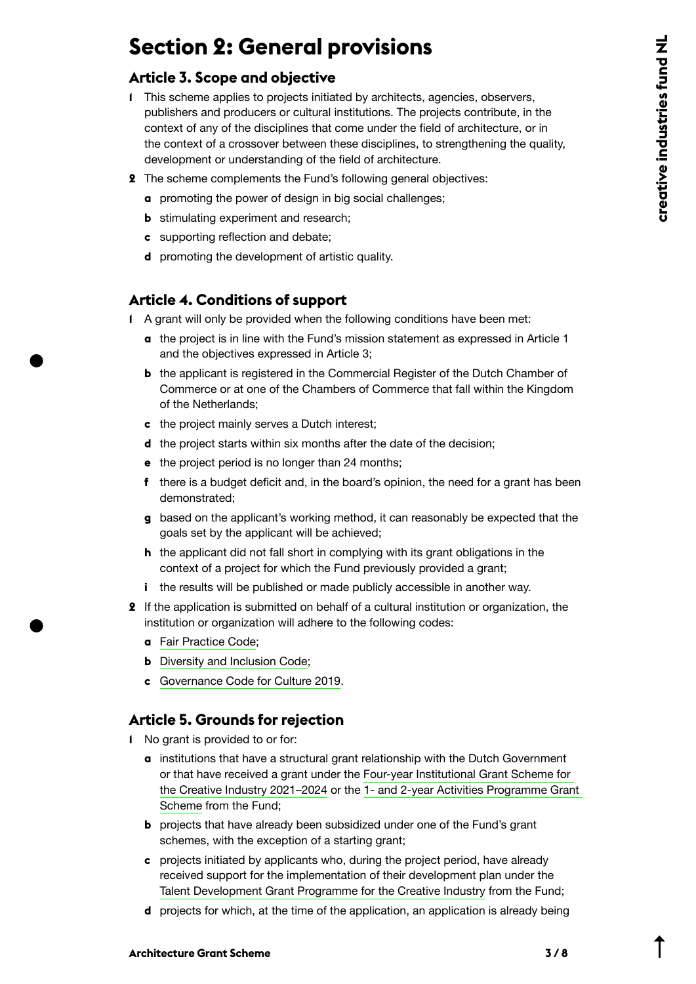## **Section 2: General provisions**

#### **Article 3. Scope and objective**

- **1** This scheme applies to projects initiated by architects, agencies, observers, publishers and producers or cultural institutions. The projects contribute, in the context of any of the disciplines that come under the field of architecture, or in the context of a crossover between these disciplines, to strengthening the quality, development or understanding of the field of architecture.
- **2** The scheme complements the Fund's following general objectives:
	- **a** promoting the power of design in big social challenges;
	- **b** stimulating experiment and research;
	- **c** supporting reflection and debate;
	- **d** promoting the development of artistic quality.

### **Article 4. Conditions of support**

- **1** A grant will only be provided when the following conditions have been met:
	- **a** the project is in line with the Fund's mission statement as expressed in Article 1 and the objectives expressed in Article 3;
	- **b** the applicant is registered in the Commercial Register of the Dutch Chamber of Commerce or at one of the Chambers of Commerce that fall within the Kingdom of the Netherlands;
	- **c** the project mainly serves a Dutch interest;
	- **d** the project starts within six months after the date of the decision;
	- **e** the project period is no longer than 24 months;
	- **f** there is a budget deficit and, in the board's opinion, the need for a grant has been demonstrated;
	- **g** based on the applicant's working method, it can reasonably be expected that the goals set by the applicant will be achieved;
	- **h** the applicant did not fall short in complying with its grant obligations in the context of a project for which the Fund previously provided a grant;
	- **i** the results will be published or made publicly accessible in another way.
- **2** If the application is submitted on behalf of a cultural institution or organization, the institution or organization will adhere to the following codes:
	- **a** [Fair Practice Code](https://fairpracticecode.nl/nl);
	- **b** [Diversity and Inclusion Code](https://codeculturelediversiteit.com/wp-content/uploads/2019/11/Code-Diversiteit-Inclusie_DEF.pdf);
	- **c** [Governance Code for Culture 2019](https://bij.cultuur-ondernemen.nl/governance-code-cultuur/principe/introductie?gclid=EAIaIQobChMI_7e8oOjU7AIVh9KyCh3E2gsSEAAYASAAEgIEw_D_BwE).

### **Article 5. Grounds for rejection**

- **1** No grant is provided to or for:
	- **a** institutions that have a structural grant relationship with the Dutch Government or that have received a grant under the [Four-year Institutional Grant Scheme for](https://stimuleringsfonds.nl/en/grants/grant_programme_for_four_year_institutional_creative_industries_2021_2024/)  [the Creative Industry 2021–2024](https://stimuleringsfonds.nl/en/grants/grant_programme_for_four_year_institutional_creative_industries_2021_2024/) or the [1- and 2-year Activities Programme Grant](https://content.stimuleringsfonds.nl/files/gra/i_022/grantprogramme1and2jarigactivityprogramm.pdf/)  [Scheme f](https://content.stimuleringsfonds.nl/files/gra/i_022/grantprogramme1and2jarigactivityprogramm.pdf/)rom the Fund;
	- **b** projects that have already been subsidized under one of the Fund's grant schemes, with the exception of a starting grant;
	- **c** projects initiated by applicants who, during the project period, have already received support for the implementation of their development plan under the [Talent Development Grant Programme for the Creative Industry](https://content.stimuleringsfonds.nl/files/gra/i_005/scitalentdevelopmentgrantprogramme202120.pdf/) from the Fund;
	- **d** projects for which, at the time of the application, an application is already being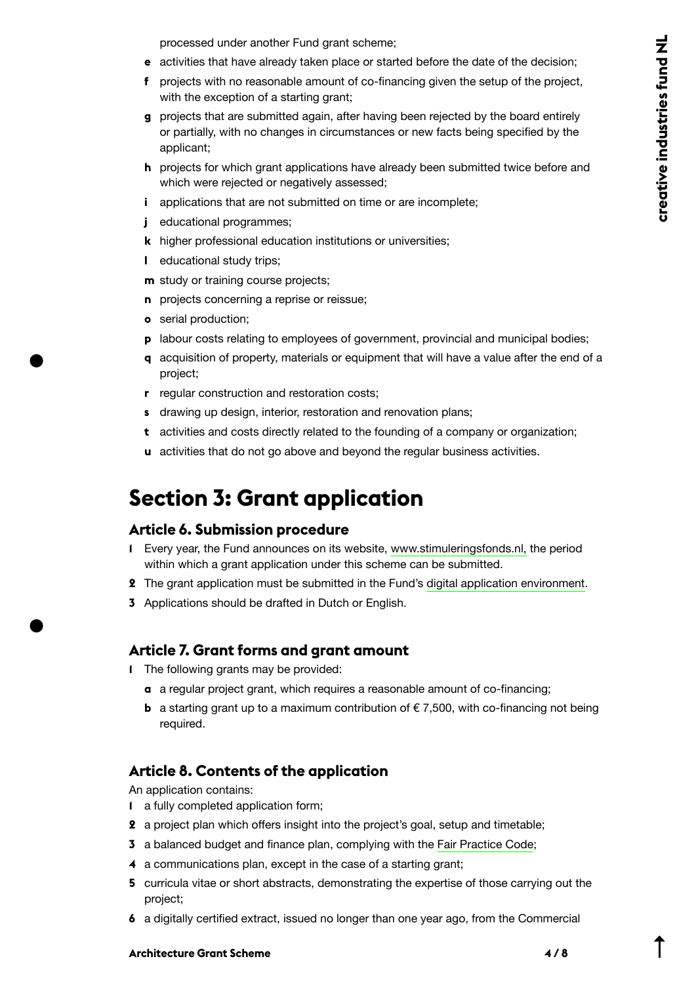processed under another Fund grant scheme;

- **e** activities that have already taken place or started before the date of the decision;
- **f** projects with no reasonable amount of co-financing given the setup of the project, with the exception of a starting grant;
- **g** projects that are submitted again, after having been rejected by the board entirely or partially, with no changes in circumstances or new facts being specified by the applicant;
- **h** projects for which grant applications have already been submitted twice before and which were rejected or negatively assessed;
- **i** applications that are not submitted on time or are incomplete:
- **j** educational programmes;
- **k** higher professional education institutions or universities;
- **l** educational study trips;
- **m** study or training course projects;
- **n** projects concerning a reprise or reissue;
- **o** serial production;
- **p** labour costs relating to employees of government, provincial and municipal bodies;
- **q** acquisition of property, materials or equipment that will have a value after the end of a project;
- **r** regular construction and restoration costs;
- **s** drawing up design, interior, restoration and renovation plans;
- **t** activities and costs directly related to the founding of a company or organization;
- **u** activities that do not go above and beyond the regular business activities.

## **Section 3: Grant application**

#### **Article 6. Submission procedure**

- **1** Every year, the Fund announces on its website, [www.stimuleringsfonds.nl,](https://www.stimuleringsfonds.nl) the period within which a grant application under this scheme can be submitted.
- **2** The grant application must be submitted in the Fund's [digital application environment](https://aanvragen.stimuleringsfonds.nl/).
- **3** Applications should be drafted in Dutch or English.

#### **Article 7. Grant forms and grant amount**

- **1** The following grants may be provided:
	- **a** a regular project grant, which requires a reasonable amount of co-financing;
	- **b** a starting grant up to a maximum contribution of  $\epsilon$  7,500, with co-financing not being required.

#### **Article 8. Contents of the application**

An application contains:

- **1** a fully completed application form;
- **2** a project plan which offers insight into the project's goal, setup and timetable;
- **3** a balanced budget and finance plan, complying with the [Fair Practice Code;](https://fairpracticecode.nl/nl)
- **4** a communications plan, except in the case of a starting grant;
- **5** curricula vitae or short abstracts, demonstrating the expertise of those carrying out the project;
- **6** a digitally certified extract, issued no longer than one year ago, from the Commercial

#### **Architecture Grant Scheme 4 / 8**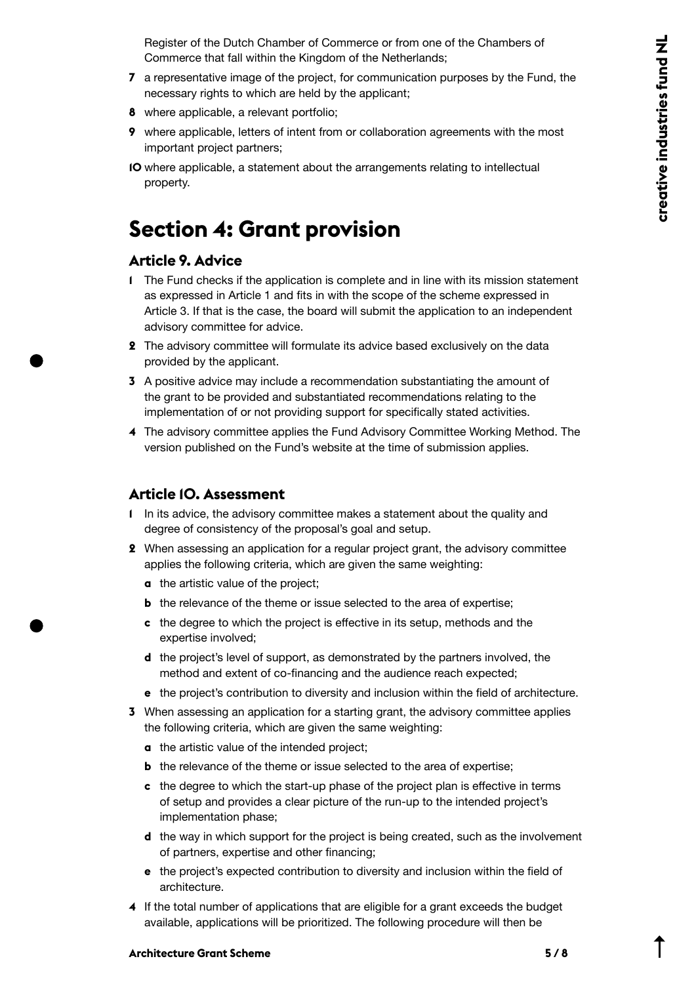Register of the Dutch Chamber of Commerce or from one of the Chambers of Commerce that fall within the Kingdom of the Netherlands;

- **7** a representative image of the project, for communication purposes by the Fund, the necessary rights to which are held by the applicant;
- **8** where applicable, a relevant portfolio;
- **9** where applicable, letters of intent from or collaboration agreements with the most important project partners;
- **10** where applicable, a statement about the arrangements relating to intellectual property.

## **Section 4: Grant provision**

#### **Article 9. Advice**

- **1** The Fund checks if the application is complete and in line with its mission statement as expressed in Article 1 and fits in with the scope of the scheme expressed in Article 3. If that is the case, the board will submit the application to an independent advisory committee for advice.
- **2** The advisory committee will formulate its advice based exclusively on the data provided by the applicant.
- **3** A positive advice may include a recommendation substantiating the amount of the grant to be provided and substantiated recommendations relating to the implementation of or not providing support for specifically stated activities.
- **4** The advisory committee applies the Fund Advisory Committee Working Method. The version published on the Fund's website at the time of submission applies.

#### **Article 10. Assessment**

- **1** In its advice, the advisory committee makes a statement about the quality and degree of consistency of the proposal's goal and setup.
- **2** When assessing an application for a regular project grant, the advisory committee applies the following criteria, which are given the same weighting:
	- **a** the artistic value of the project;
	- **b** the relevance of the theme or issue selected to the area of expertise;
	- **c** the degree to which the project is effective in its setup, methods and the expertise involved;
	- **d** the project's level of support, as demonstrated by the partners involved, the method and extent of co-financing and the audience reach expected;
	- **e** the project's contribution to diversity and inclusion within the field of architecture.
- **3** When assessing an application for a starting grant, the advisory committee applies the following criteria, which are given the same weighting:
	- **a** the artistic value of the intended project;
	- **b** the relevance of the theme or issue selected to the area of expertise;
	- **c** the degree to which the start-up phase of the project plan is effective in terms of setup and provides a clear picture of the run-up to the intended project's implementation phase;
	- **d** the way in which support for the project is being created, such as the involvement of partners, expertise and other financing;
	- **e** the project's expected contribution to diversity and inclusion within the field of architecture.
- **4** If the total number of applications that are eligible for a grant exceeds the budget available, applications will be prioritized. The following procedure will then be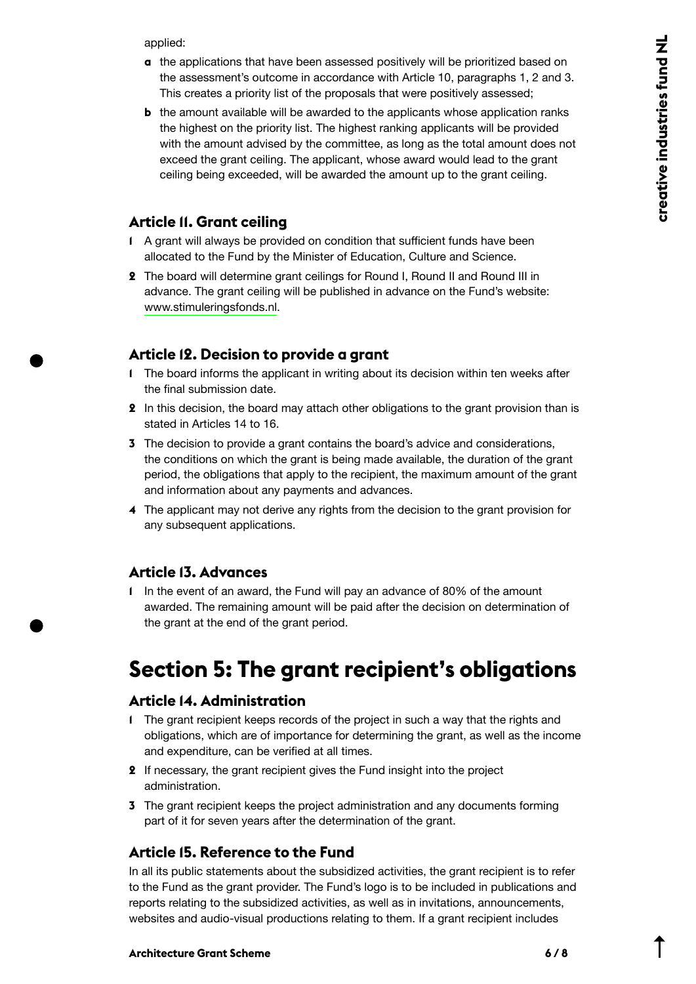applied:

- **a** the applications that have been assessed positively will be prioritized based on the assessment's outcome in accordance with Article 10, paragraphs 1, 2 and 3. This creates a priority list of the proposals that were positively assessed;
- **b** the amount available will be awarded to the applicants whose application ranks the highest on the priority list. The highest ranking applicants will be provided with the amount advised by the committee, as long as the total amount does not exceed the grant ceiling. The applicant, whose award would lead to the grant ceiling being exceeded, will be awarded the amount up to the grant ceiling.

#### **Article 11. Grant ceiling**

- **1** A grant will always be provided on condition that sufficient funds have been allocated to the Fund by the Minister of Education, Culture and Science.
- **2** The board will determine grant ceilings for Round I, Round II and Round III in advance. The grant ceiling will be published in advance on the Fund's website: [www.stimuleringsfonds.nl.](https://www.stimuleringsfonds.nl)

### **Article 12. Decision to provide a grant**

- **1** The board informs the applicant in writing about its decision within ten weeks after the final submission date.
- **2** In this decision, the board may attach other obligations to the grant provision than is stated in Articles 14 to 16.
- **3** The decision to provide a grant contains the board's advice and considerations, the conditions on which the grant is being made available, the duration of the grant period, the obligations that apply to the recipient, the maximum amount of the grant and information about any payments and advances.
- **4** The applicant may not derive any rights from the decision to the grant provision for any subsequent applications.

### **Article 13. Advances**

**1** In the event of an award, the Fund will pay an advance of 80% of the amount awarded. The remaining amount will be paid after the decision on determination of the grant at the end of the grant period.

## **Section 5: The grant recipient's obligations**

#### **Article 14. Administration**

- **1** The grant recipient keeps records of the project in such a way that the rights and obligations, which are of importance for determining the grant, as well as the income and expenditure, can be verified at all times.
- **2** If necessary, the grant recipient gives the Fund insight into the project administration.
- **3** The grant recipient keeps the project administration and any documents forming part of it for seven years after the determination of the grant.

### **Article 15. Reference to the Fund**

In all its public statements about the subsidized activities, the grant recipient is to refer to the Fund as the grant provider. The Fund's logo is to be included in publications and reports relating to the subsidized activities, as well as in invitations, announcements, websites and audio-visual productions relating to them. If a grant recipient includes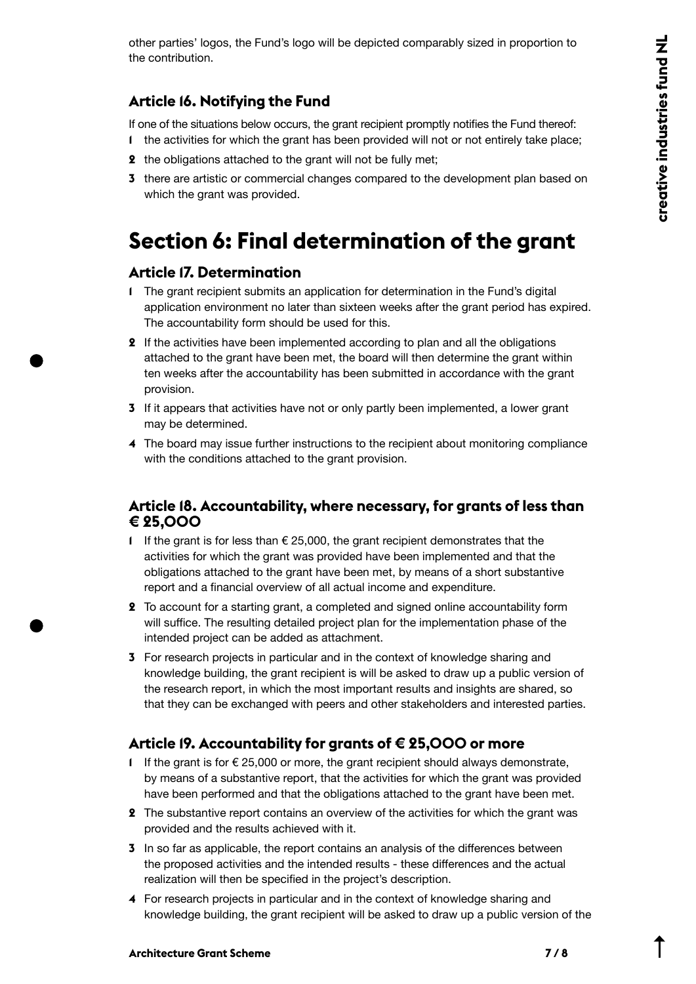other parties' logos, the Fund's logo will be depicted comparably sized in proportion to the contribution.

### **Article 16. Notifying the Fund**

If one of the situations below occurs, the grant recipient promptly notifies the Fund thereof: **1** the activities for which the grant has been provided will not or not entirely take place;

- **2** the obligations attached to the grant will not be fully met;
- **3** there are artistic or commercial changes compared to the development plan based on which the grant was provided.

## **Section 6: Final determination of the grant**

### **Article 17. Determination**

- **1** The grant recipient submits an application for determination in the Fund's digital application environment no later than sixteen weeks after the grant period has expired. The accountability form should be used for this.
- **2** If the activities have been implemented according to plan and all the obligations attached to the grant have been met, the board will then determine the grant within ten weeks after the accountability has been submitted in accordance with the grant provision.
- **3** If it appears that activities have not or only partly been implemented, a lower grant may be determined.
- **4** The board may issue further instructions to the recipient about monitoring compliance with the conditions attached to the grant provision.

#### **Article 18. Accountability, where necessary, for grants of less than € 25,000**

- **1** If the grant is for less than € 25,000, the grant recipient demonstrates that the activities for which the grant was provided have been implemented and that the obligations attached to the grant have been met, by means of a short substantive report and a financial overview of all actual income and expenditure.
- **2** To account for a starting grant, a completed and signed online accountability form will suffice. The resulting detailed project plan for the implementation phase of the intended project can be added as attachment.
- **3** For research projects in particular and in the context of knowledge sharing and knowledge building, the grant recipient is will be asked to draw up a public version of the research report, in which the most important results and insights are shared, so that they can be exchanged with peers and other stakeholders and interested parties.

### **Article 19. Accountability for grants of € 25,000 or more**

- **1** If the grant is for  $€ 25,000$  or more, the grant recipient should always demonstrate, by means of a substantive report, that the activities for which the grant was provided have been performed and that the obligations attached to the grant have been met.
- **2** The substantive report contains an overview of the activities for which the grant was provided and the results achieved with it.
- **3** In so far as applicable, the report contains an analysis of the differences between the proposed activities and the intended results - these differences and the actual realization will then be specified in the project's description.
- **4** For research projects in particular and in the context of knowledge sharing and knowledge building, the grant recipient will be asked to draw up a public version of the